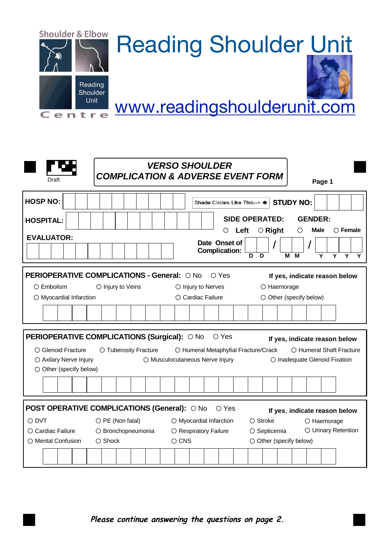

| Draft                                                                                                                                                                                                                                                                                                                                                      |                                                   | <b>VERSO SHOULDER</b><br><b>COMPLICATION &amp; ADVERSE EVENT FORM</b> | Page 1                                                                                                                |  |  |
|------------------------------------------------------------------------------------------------------------------------------------------------------------------------------------------------------------------------------------------------------------------------------------------------------------------------------------------------------------|---------------------------------------------------|-----------------------------------------------------------------------|-----------------------------------------------------------------------------------------------------------------------|--|--|
| <b>HOSP NO:</b><br><b>HOSPITAL:</b><br><b>EVALUATOR:</b>                                                                                                                                                                                                                                                                                                   |                                                   | Shade Circles Like This--> ●<br>Left<br>O                             | <b>STUDY NO:</b><br><b>SIDE OPERATED:</b><br><b>GENDER:</b><br>$\bigcirc$ Female<br>$\circ$ Right<br><b>Male</b><br>O |  |  |
|                                                                                                                                                                                                                                                                                                                                                            |                                                   | Date Onset of<br><b>Complication:</b>                                 | D<br>D<br>м<br>м<br>Y<br>Y<br>$\overline{Y}$<br>Y                                                                     |  |  |
|                                                                                                                                                                                                                                                                                                                                                            | <b>PERIOPERATIVE COMPLICATIONS - General: ONO</b> | ○ Yes                                                                 | If yes, indicate reason below                                                                                         |  |  |
| $\bigcirc$ Embolism                                                                                                                                                                                                                                                                                                                                        | O Injury to Veins                                 | $\bigcirc$ Injury to Nerves                                           | O Haemorage                                                                                                           |  |  |
| O Myocardial Infarction                                                                                                                                                                                                                                                                                                                                    |                                                   | O Cardiac Failure                                                     | $\circlearrowright$ Other (specify below)                                                                             |  |  |
|                                                                                                                                                                                                                                                                                                                                                            |                                                   |                                                                       |                                                                                                                       |  |  |
| PERIOPERATIVE COMPLICATIONS (Surgical): O No<br>$\circ$ Yes<br>If yes, indicate reason below<br>○ Glenoid Fracture<br>O Tuberosity Fracture<br>O Humeral Metaphyfial Fracture/Crack<br>O Humeral Shaft Fracture<br>○ Axilary Nerve Injury<br>O Musculocutaneous Nerve Injury<br>O Inadequate Glenoid Fixation<br>$\circlearrowright$ Other (specify below) |                                                   |                                                                       |                                                                                                                       |  |  |
|                                                                                                                                                                                                                                                                                                                                                            |                                                   |                                                                       |                                                                                                                       |  |  |
| POST OPERATIVE COMPLICATIONS (General): O No O Yes<br>If yes, indicate reason below                                                                                                                                                                                                                                                                        |                                                   |                                                                       |                                                                                                                       |  |  |
| $\bigcirc$ DVT                                                                                                                                                                                                                                                                                                                                             | $\bigcirc$ PE (Non fatal)                         | $\bigcirc$ Myocardial Infarction                                      | $\bigcirc$ Stroke<br>$\bigcirc$ Haemorage                                                                             |  |  |
| $\bigcirc$ Cardiac Failure                                                                                                                                                                                                                                                                                                                                 | O Bronchopneumonia                                | O Respiratory Failure                                                 | O Urinary Retention<br>$\circ$ Septicemia                                                                             |  |  |
| ○ Mental Confusion                                                                                                                                                                                                                                                                                                                                         | $\bigcirc$ Shock                                  | $\circ$ CNS                                                           | $\bigcirc$ Other (specify below)                                                                                      |  |  |
|                                                                                                                                                                                                                                                                                                                                                            |                                                   |                                                                       |                                                                                                                       |  |  |

*Please continue answering the questions on page 2.*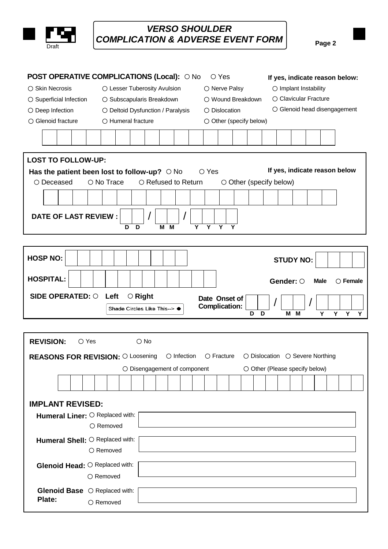

## *VERSO SHOULDER COMPLICATION & ADVERSE EVENT FORM* Page 2

|                                                            | <b>POST OPERATIVE COMPLICATIONS (Local): O No</b><br>$\circ$ Yes<br>If yes, indicate reason below:              |                                                                  |  |
|------------------------------------------------------------|-----------------------------------------------------------------------------------------------------------------|------------------------------------------------------------------|--|
| ○ Skin Necrosis                                            | O Lesser Tuberosity Avulsion<br>$\bigcirc$ Implant Instability<br>O Nerve Palsy                                 |                                                                  |  |
| ○ Superficial Infection                                    | ○ Clavicular Fracture<br>○ Wound Breakdown<br>○ Subscapularis Breakdown                                         |                                                                  |  |
| O Deep Infection                                           | O Deltoid Dysfunction / Paralysis<br>$\bigcirc$ Dislocation                                                     | ○ Glenoid head disengagement                                     |  |
| ○ Glenoid fracture                                         | $\bigcirc$ Humeral fracture<br>$\circlearrowright$ Other (specify below)                                        |                                                                  |  |
|                                                            |                                                                                                                 |                                                                  |  |
|                                                            |                                                                                                                 |                                                                  |  |
| <b>LOST TO FOLLOW-UP:</b>                                  |                                                                                                                 |                                                                  |  |
|                                                            | If yes, indicate reason below<br>Has the patient been lost to follow-up? $\circ$ No<br>$\circ$ Yes              |                                                                  |  |
| ○ Deceased                                                 | $\circ$ No Trace<br>○ Refused to Return<br>$\circ$ Other (specify below)                                        |                                                                  |  |
|                                                            |                                                                                                                 |                                                                  |  |
| <b>DATE OF LAST REVIEW:</b>                                | $\overline{\mathsf{Y}}$<br>$\overline{Y}$<br>D<br>D<br>M<br>Y<br>Y<br>M                                         |                                                                  |  |
|                                                            |                                                                                                                 |                                                                  |  |
| <b>HOSP NO:</b>                                            | <b>STUDY NO:</b>                                                                                                |                                                                  |  |
| <b>HOSPITAL:</b>                                           | Gender: O                                                                                                       | $\bigcirc$ Female<br><b>Male</b>                                 |  |
|                                                            |                                                                                                                 |                                                                  |  |
| <b>SIDE OPERATED: O</b>                                    | Left<br>$\circ$ Right<br>Date Onset of<br><b>Complication:</b><br>Shade Circles Like This--> ●<br>D<br>D<br>M M | $\overline{Y}$<br>$\overline{\mathsf{Y}}$<br>$\overline{Y}$<br>Y |  |
| <b>REVISION:</b><br>$\bigcirc$ Yes                         | $\bigcirc$ No                                                                                                   |                                                                  |  |
| <b>REASONS FOR REVISION: O Loosening</b>                   | $\bigcirc$ Infection<br>$\circ$ Fracture<br>○ Dislocation ○ Severe Northing                                     |                                                                  |  |
|                                                            | O Other (Please specify below)<br>$\bigcirc$ Disengagement of component                                         |                                                                  |  |
|                                                            |                                                                                                                 |                                                                  |  |
| <b>IMPLANT REVISED:</b><br>Humeral Liner: O Replaced with: |                                                                                                                 |                                                                  |  |
|                                                            | ○ Removed                                                                                                       |                                                                  |  |
| Humeral Shell: O Replaced with:                            | ○ Removed                                                                                                       |                                                                  |  |
| Glenoid Head: O Replaced with:                             | $\bigcirc$ Removed                                                                                              |                                                                  |  |
| Glenoid Base O Replaced with:<br>Plate:                    | ○ Removed                                                                                                       |                                                                  |  |